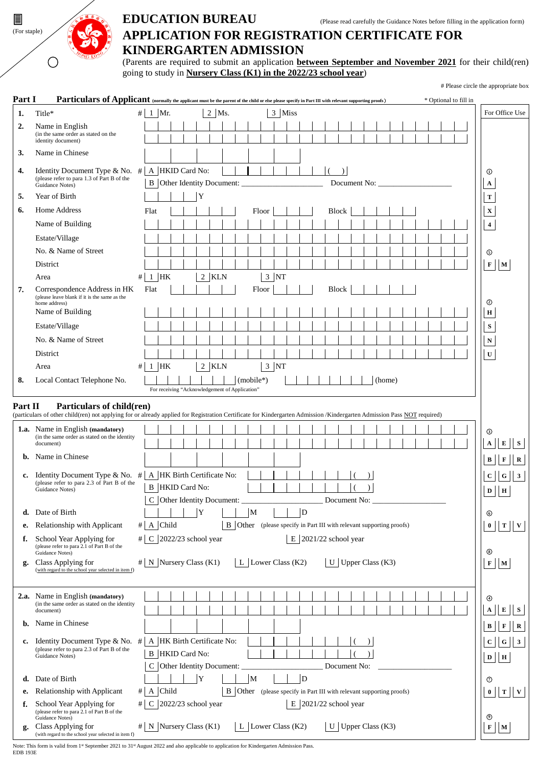

# (For staple) **APPLICATION FOR REGISTRATION CERTIFICATE FOR KINDERGARTEN ADMISSION**

(Parents are required to submit an application **between September and November 2021** for their child(ren) going to study in **Nursery Class (K1) in the 2022/23 school year**)

# Please circle the appropriate box

| Part I         | Particulars of Applicant (normally the applicant must be the parent of the child or else please specify in Part III with relevant supporting proofs)                                                 |      |              |                                                |   |       |           |   |       |                      |   |                                                                      |              |               |              |                             |  |  |  | * Optional to fill in |                         |                             |                |
|----------------|------------------------------------------------------------------------------------------------------------------------------------------------------------------------------------------------------|------|--------------|------------------------------------------------|---|-------|-----------|---|-------|----------------------|---|----------------------------------------------------------------------|--------------|---------------|--------------|-----------------------------|--|--|--|-----------------------|-------------------------|-----------------------------|----------------|
| 1.             | Title*                                                                                                                                                                                               |      | # 1 Mr.      |                                                |   | 2 Ms. |           |   |       | 3 Miss               |   |                                                                      |              |               |              |                             |  |  |  |                       |                         | For Office Use              |                |
| 2.             | Name in English                                                                                                                                                                                      |      |              |                                                |   |       |           |   |       |                      |   |                                                                      |              |               |              |                             |  |  |  |                       |                         |                             |                |
|                | (in the same order as stated on the<br>identity document)                                                                                                                                            |      |              |                                                |   |       |           |   |       |                      |   |                                                                      |              |               |              |                             |  |  |  |                       |                         |                             |                |
| 3.             | Name in Chinese                                                                                                                                                                                      |      |              |                                                |   |       |           |   |       |                      |   |                                                                      |              |               |              |                             |  |  |  |                       |                         |                             |                |
| 4.             | Identity Document Type & No. $\#$   A   HKID Card No:                                                                                                                                                |      |              |                                                |   |       |           |   |       |                      |   |                                                                      |              | $\mathcal{L}$ |              |                             |  |  |  |                       | $^{\circ}$              |                             |                |
|                | (please refer to para 1.3 of Part B of the<br>Guidance Notes)                                                                                                                                        |      |              |                                                |   |       |           |   |       |                      |   |                                                                      |              |               |              | Document No:                |  |  |  |                       | $\mathbf{A}$            |                             |                |
| 5.             | Year of Birth                                                                                                                                                                                        |      |              |                                                | Y |       |           |   |       |                      |   |                                                                      |              |               |              |                             |  |  |  |                       | $\mathbf T$             |                             |                |
| 6.             | Home Address                                                                                                                                                                                         |      | Flat         |                                                |   |       |           |   | Floor |                      |   |                                                                      | Block        |               |              |                             |  |  |  |                       | $\mathbf X$             |                             |                |
|                | Name of Building                                                                                                                                                                                     |      |              |                                                |   |       |           |   |       |                      |   |                                                                      |              |               |              |                             |  |  |  |                       | $\overline{\mathbf{4}}$ |                             |                |
|                | Estate/Village                                                                                                                                                                                       |      |              |                                                |   |       |           |   |       |                      |   |                                                                      |              |               |              |                             |  |  |  |                       |                         |                             |                |
|                | No. & Name of Street                                                                                                                                                                                 |      |              |                                                |   |       |           |   |       |                      |   |                                                                      |              |               |              |                             |  |  |  |                       | $\circledcirc$          |                             |                |
|                | District                                                                                                                                                                                             |      |              |                                                |   |       |           |   |       |                      |   |                                                                      |              |               |              |                             |  |  |  |                       |                         | $F \parallel M$             |                |
|                | Area                                                                                                                                                                                                 | $\#$ | $1$ HK       |                                                |   | 2 KLN |           |   |       | $3 \overline{NT}$    |   |                                                                      |              |               |              |                             |  |  |  |                       |                         |                             |                |
| 7.             | Correspondence Address in HK                                                                                                                                                                         |      | Flat         |                                                |   |       |           |   | Floor |                      |   |                                                                      | <b>Block</b> |               |              |                             |  |  |  |                       |                         |                             |                |
|                | (please leave blank if it is the same as the<br>home address)                                                                                                                                        |      |              |                                                |   |       |           |   |       |                      |   |                                                                      |              |               |              |                             |  |  |  |                       | ⊙                       |                             |                |
|                | Name of Building                                                                                                                                                                                     |      |              |                                                |   |       |           |   |       |                      |   |                                                                      |              |               |              |                             |  |  |  |                       | $\mathbf H$             |                             |                |
|                | Estate/Village                                                                                                                                                                                       |      |              |                                                |   |       |           |   |       |                      |   |                                                                      |              |               |              |                             |  |  |  |                       | ${\bf S}$               |                             |                |
|                | No. & Name of Street                                                                                                                                                                                 |      |              |                                                |   |       |           |   |       |                      |   |                                                                      |              |               |              |                             |  |  |  |                       | $\mathbf N$             |                             |                |
|                | District                                                                                                                                                                                             |      |              |                                                |   |       |           |   |       |                      |   |                                                                      |              |               |              |                             |  |  |  |                       | $\mathbf U$             |                             |                |
|                | Area                                                                                                                                                                                                 |      | $# 1$ HK     |                                                |   | 2 KLN |           |   |       | $3 \overline{NT}$    |   |                                                                      |              |               |              |                             |  |  |  |                       |                         |                             |                |
| 8.             | Local Contact Telephone No.                                                                                                                                                                          |      |              | For receiving "Acknowledgement of Application" |   |       | (mobile*) |   |       |                      |   |                                                                      |              |               |              | (home)                      |  |  |  |                       |                         |                             |                |
|                |                                                                                                                                                                                                      |      |              |                                                |   |       |           |   |       |                      |   |                                                                      |              |               |              |                             |  |  |  |                       |                         |                             |                |
| <b>Part II</b> | Particulars of child(ren)<br>(particulars of other child(ren) not applying for or already applied for Registration Certificate for Kindergarten Admission /Kindergarten Admission Pass NOT required) |      |              |                                                |   |       |           |   |       |                      |   |                                                                      |              |               |              |                             |  |  |  |                       |                         |                             |                |
|                | <b>1.a.</b> Name in English (mandatory)                                                                                                                                                              |      |              |                                                |   |       |           |   |       |                      |   |                                                                      |              |               |              |                             |  |  |  |                       | ⊚                       |                             |                |
|                | (in the same order as stated on the identity<br>document)                                                                                                                                            |      |              |                                                |   |       |           |   |       |                      |   |                                                                      |              |               |              |                             |  |  |  |                       |                         | E                           | $\mathbf{s}$   |
| b.             | Name in Chinese                                                                                                                                                                                      |      |              |                                                |   |       |           |   |       |                      |   |                                                                      |              |               |              |                             |  |  |  |                       |                         |                             |                |
|                |                                                                                                                                                                                                      |      |              |                                                |   |       |           |   |       |                      |   |                                                                      |              |               |              |                             |  |  |  |                       |                         | $\mathbf{B}$<br>F           |                |
|                | c. Identity Document Type & No. $#$<br>(please refer to para 2.3 of Part B of the                                                                                                                    |      |              | A HK Birth Certificate No:                     |   |       |           |   |       |                      |   |                                                                      |              |               |              |                             |  |  |  |                       |                         | $\mathbf{C}$<br>G           | $\vert$ 3      |
|                | Guidance Notes)                                                                                                                                                                                      |      |              | <b>B</b> HKID Card No:                         |   |       |           |   |       |                      |   |                                                                      |              |               |              |                             |  |  |  |                       |                         | H<br>$\mathbf{D}$           |                |
|                | d. Date of Birth                                                                                                                                                                                     |      |              | C Other Identity Document:                     | Y |       |           | M |       |                      |   | D                                                                    |              |               | Document No: |                             |  |  |  |                       |                         |                             |                |
| е.             | Relationship with Applicant                                                                                                                                                                          |      | # A Child    |                                                |   |       |           |   |       |                      |   | B Other (please specify in Part III with relevant supporting proofs) |              |               |              |                             |  |  |  |                       | ⊙                       | $0$ T V                     |                |
| f.             | School Year Applying for                                                                                                                                                                             |      |              | $\#$ C 2022/23 school year                     |   |       |           |   |       |                      |   | $E$ 2021/22 school year                                              |              |               |              |                             |  |  |  |                       |                         |                             |                |
|                | (please refer to para 2.1 of Part B of the<br>Guidance Notes)                                                                                                                                        |      |              |                                                |   |       |           |   |       |                      |   |                                                                      |              |               |              |                             |  |  |  |                       | $\circledS$             |                             |                |
| g.             | Class Applying for                                                                                                                                                                                   |      |              | $\#$ N Nursery Class (K1)                      |   |       |           |   |       | L Lower Class $(K2)$ |   |                                                                      |              |               |              | $\mid$ U   Upper Class (K3) |  |  |  |                       |                         | $\mathbf F$ M               |                |
|                | (with regard to the school year selected in item f)                                                                                                                                                  |      |              |                                                |   |       |           |   |       |                      |   |                                                                      |              |               |              |                             |  |  |  |                       |                         |                             |                |
|                |                                                                                                                                                                                                      |      |              |                                                |   |       |           |   |       |                      |   |                                                                      |              |               |              |                             |  |  |  |                       |                         |                             |                |
|                | 2.a. Name in English (mandatory)<br>(in the same order as stated on the identity                                                                                                                     |      |              |                                                |   |       |           |   |       |                      |   |                                                                      |              |               |              |                             |  |  |  |                       | ⊕                       |                             |                |
|                | document)                                                                                                                                                                                            |      |              |                                                |   |       |           |   |       |                      |   |                                                                      |              |               |              |                             |  |  |  |                       |                         | E<br>$\mathbf{A}$           | $\mathbf S$    |
| b.             | Name in Chinese                                                                                                                                                                                      |      |              |                                                |   |       |           |   |       |                      |   |                                                                      |              |               |              |                             |  |  |  |                       |                         | $\mathbf F$<br>B            | $\overline{R}$ |
|                | c. Identity Document Type & No. $#$                                                                                                                                                                  |      |              | A HK Birth Certificate No:                     |   |       |           |   |       |                      |   |                                                                      |              |               |              |                             |  |  |  |                       |                         | $\mathbf{C}$<br>$\mathbf G$ | $\vert$ 3      |
|                | (please refer to para 2.3 of Part B of the<br>Guidance Notes)                                                                                                                                        |      |              | <b>B</b> HKID Card No:                         |   |       |           |   |       |                      |   |                                                                      |              |               |              |                             |  |  |  |                       |                         | $D$   H                     |                |
|                |                                                                                                                                                                                                      |      |              | C Other Identity Document:                     |   |       |           |   |       |                      |   |                                                                      |              |               | Document No: |                             |  |  |  |                       |                         |                             |                |
| d.             | Date of Birth                                                                                                                                                                                        |      |              |                                                | Y |       |           | M |       |                      |   | D                                                                    |              |               |              |                             |  |  |  |                       | ⊙                       |                             |                |
| е.             | Relationship with Applicant                                                                                                                                                                          | #    | A Child      |                                                |   |       |           |   |       |                      |   | B Other (please specify in Part III with relevant supporting proofs) |              |               |              |                             |  |  |  |                       |                         | $0$ T V                     |                |
| f.             | School Year Applying for<br>(please refer to para 2.1 of Part B of the<br>Guidance Notes)                                                                                                            | #    | $\mathsf{C}$ | 2022/23 school year                            |   |       |           |   |       |                      | Е | 2021/22 school year                                                  |              |               |              |                             |  |  |  |                       | ◉                       |                             |                |
| g.             | Class Applying for<br>(with regard to the school year selected in item f)                                                                                                                            |      |              | $\#$ N Nursery Class (K1)                      |   |       |           |   |       | L Lower Class $(K2)$ |   |                                                                      |              |               |              | U   Upper Class $(K3)$      |  |  |  |                       |                         | $\mathbf F$   $\mathbf M$   |                |

Note: This form is valid from 1<sup>st</sup> September 2021 to 31<sup>st</sup> August 2022 and also applicable to application for Kindergarten Admission Pass. EDB 193E